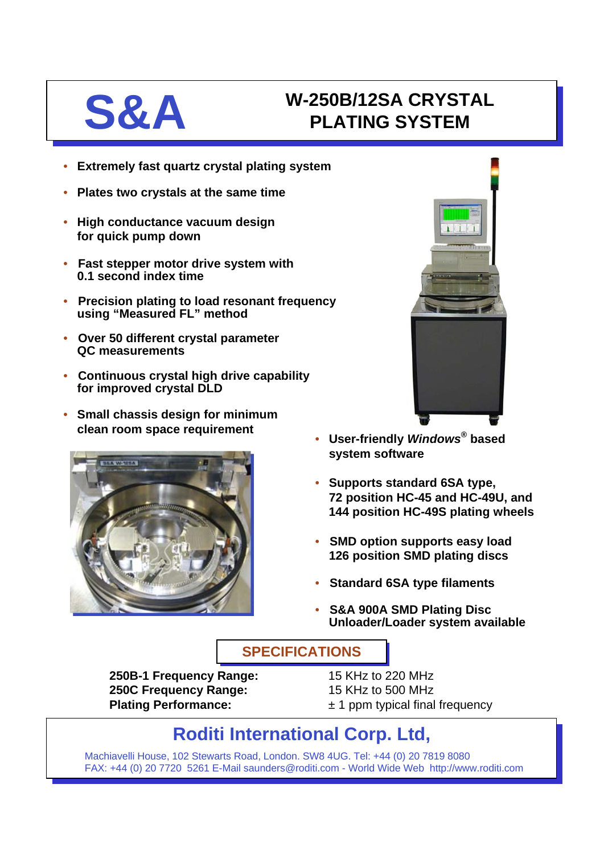# **S&A W-250B/12SA CRYSTAL**<br>PLATING SYSTEM **PLATING SYSTEM**

- **Extremely fast quartz crystal plating system**
- **Plates two crystals at the same time**
- **High conductance vacuum design for quick pump down**
- **Fast stepper motor drive system with 0.1 second index time**
- **Precision plating to load resonant frequency using "Measured FL" method**
- **Over 50 different crystal parameter QC measurements**
- **Continuous crystal high drive capability for improved crystal DLD**
- **Small chassis design for minimum clean room space requirement** • **User-friendly** *Windows®* **based**





- **system software**
- **Supports standard 6SA type, 72 position HC-45 and HC-49U, and 144 position HC-49S plating wheels**
- **SMD option supports easy load 126 position SMD plating discs**
- **Standard 6SA type filaments**
- **S&A 900A SMD Plating Disc Unloader/Loader system available**

## **SPECIFICATIONS SPECIFICATIONS**

**250B-1 Frequency Range:** 15 KHz to 220 MHz **250C Frequency Range:** 15 KHz to 500 MHz

- 
- **Plating Performance:**  $\pm 1$  ppm typical final frequency

# **Roditi International Corp. Ltd,**

Machiavelli House, 102 Stewarts Road, London. SW8 4UG. Tel: +44 (0) 20 7819 8080 FAX: +44 (0) 20 7720 5261 E-Mail saunders@roditi.com - World Wide Web http://www.roditi.com